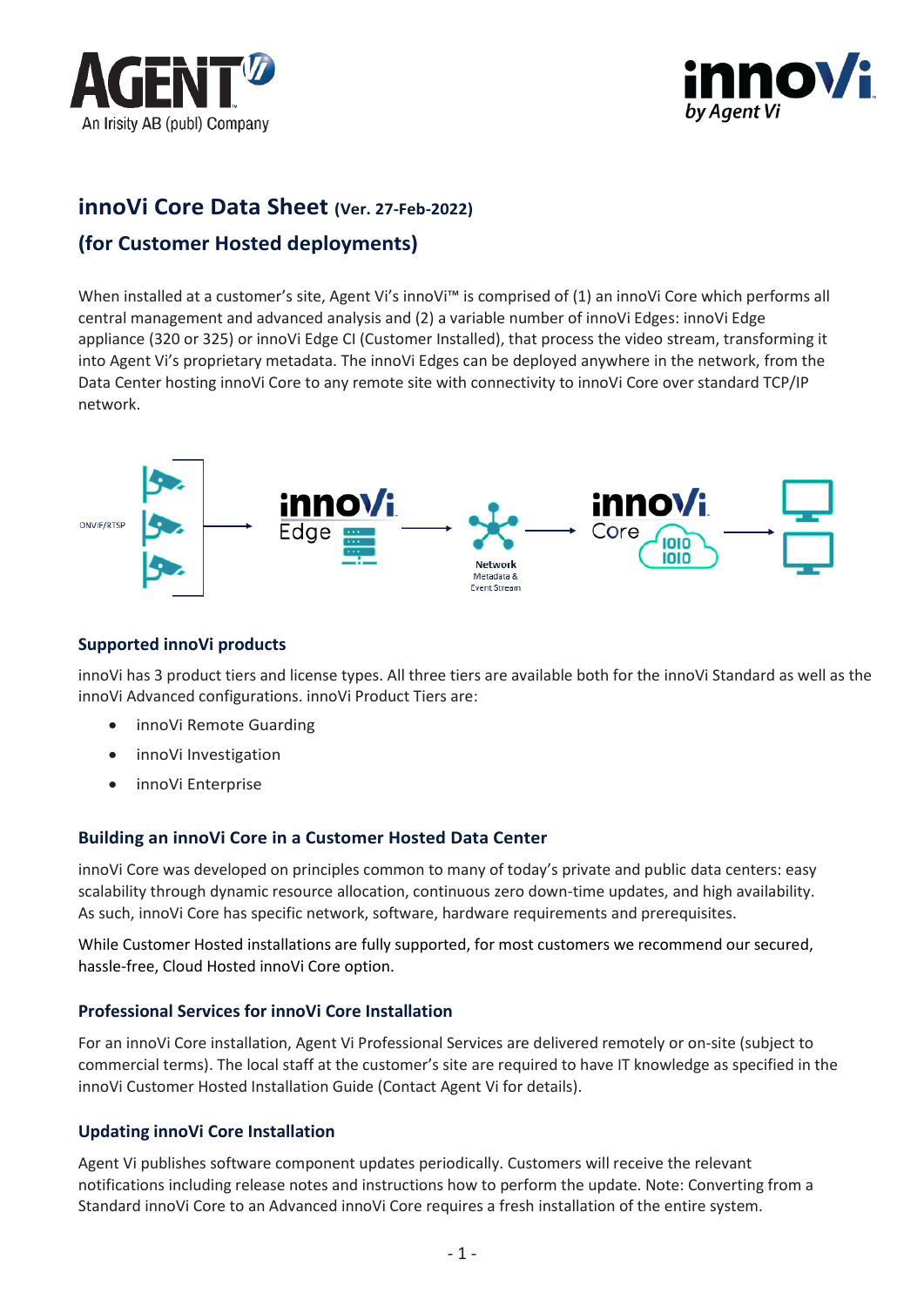



# **innoVi Core Data Sheet (Ver. 27-Feb-2022)**

# **(for Customer Hosted deployments)**

When installed at a customer's site, Agent Vi's innoVi™ is comprised of (1) an innoVi Core which performs all central management and advanced analysis and (2) a variable number of innoVi Edges: innoVi Edge appliance (320 or 325) or innoVi Edge CI (Customer Installed), that process the video stream, transforming it into Agent Vi's proprietary metadata. The innoVi Edges can be deployed anywhere in the network, from the Data Center hosting innoVi Core to any remote site with connectivity to innoVi Core over standard TCP/IP network.



### **Supported innoVi products**

innoVi has 3 product tiers and license types. All three tiers are available both for the innoVi Standard as well as the innoVi Advanced configurations. innoVi Product Tiers are:

- innoVi Remote Guarding
- innoVi Investigation
- innoVi Enterprise

### **Building an innoVi Core in a Customer Hosted Data Center**

innoVi Core was developed on principles common to many of today's private and public data centers: easy scalability through dynamic resource allocation, continuous zero down-time updates, and high availability. As such, innoVi Core has specific network, software, hardware requirements and prerequisites.

While Customer Hosted installations are fully supported, for most customers we recommend our secured, hassle-free, Cloud Hosted innoVi Core option.

### **Professional Services for innoVi Core Installation**

For an innoVi Core installation, Agent Vi Professional Services are delivered remotely or on-site (subject to commercial terms). The local staff at the customer's site are required to have IT knowledge as specified in the innoVi Customer Hosted Installation Guide (Contact Agent Vi for details).

### **Updating innoVi Core Installation**

Agent Vi publishes software component updates periodically. Customers will receive the relevant notifications including release notes and instructions how to perform the update. Note: Converting from a Standard innoVi Core to an Advanced innoVi Core requires a fresh installation of the entire system.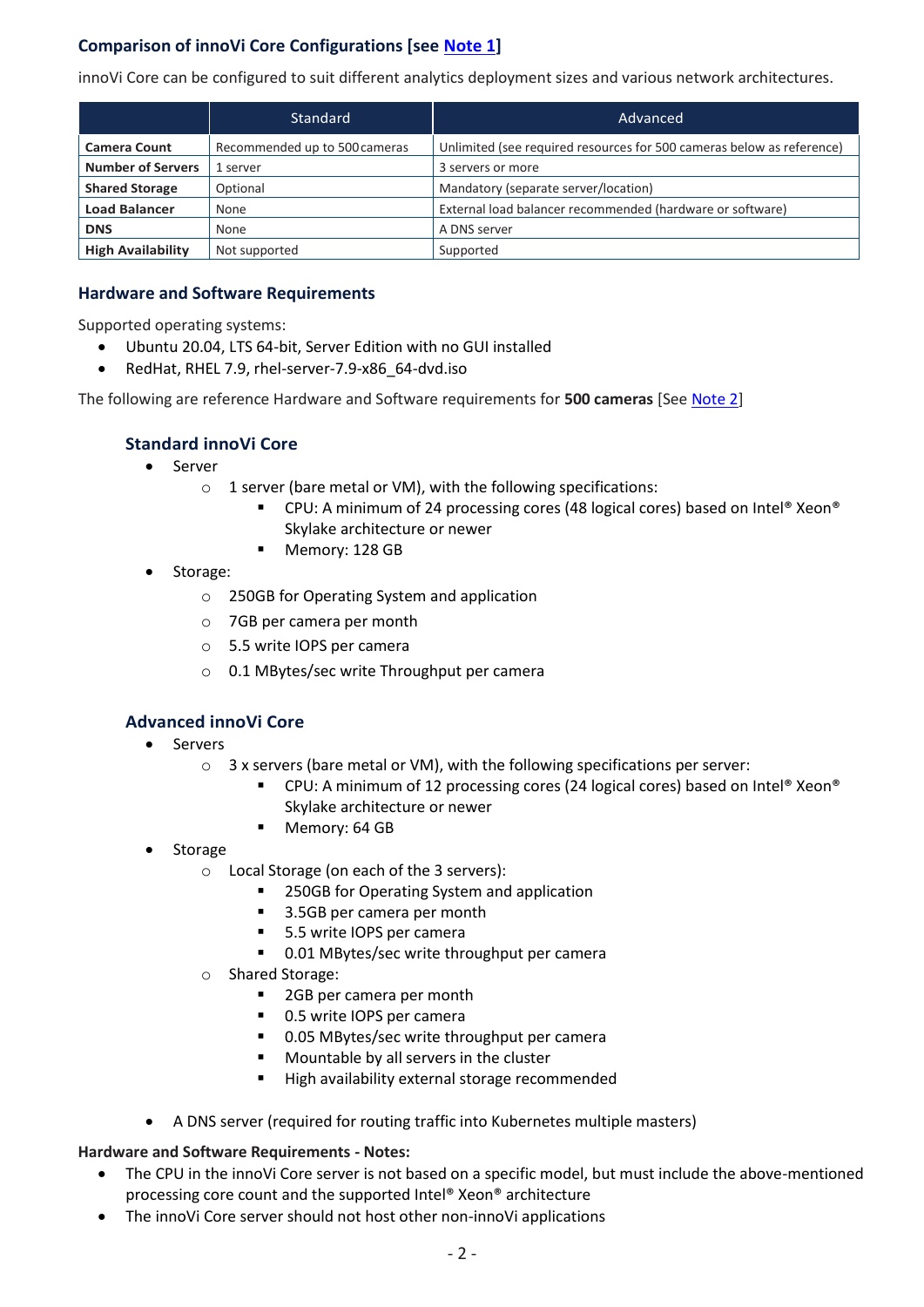# **Comparison of innoVi Core Configurations [see [Note 1\]](#page-2-0)**

innoVi Core can be configured to suit different analytics deployment sizes and various network architectures.

|                          | Standard                      | Advanced                                                              |
|--------------------------|-------------------------------|-----------------------------------------------------------------------|
| <b>Camera Count</b>      | Recommended up to 500 cameras | Unlimited (see required resources for 500 cameras below as reference) |
| <b>Number of Servers</b> | 1 server                      | 3 servers or more                                                     |
| <b>Shared Storage</b>    | Optional                      | Mandatory (separate server/location)                                  |
| <b>Load Balancer</b>     | None                          | External load balancer recommended (hardware or software)             |
| <b>DNS</b>               | None                          | A DNS server                                                          |
| <b>High Availability</b> | Not supported                 | Supported                                                             |

### **Hardware and Software Requirements**

Supported operating systems:

- Ubuntu 20.04, LTS 64-bit, Server Edition with no GUI installed
- RedHat, RHEL 7.9, rhel-server-7.9-x86\_64-dvd.iso

The following are reference Hardware and Software requirements for **500 cameras** [Se[e Note 2\]](#page-2-1)

## **Standard innoVi Core**

- Server
	- $\circ$  1 server (bare metal or VM), with the following specifications:
		- CPU: A minimum of 24 processing cores (48 logical cores) based on Intel® Xeon® Skylake architecture or newer
		- Memory: 128 GB
- Storage:
	- o 250GB for Operating System and application
	- o 7GB per camera per month
	- o 5.5 write IOPS per camera
	- o 0.1 MBytes/sec write Throughput per camera

## **Advanced innoVi Core**

- Servers
	- o 3 x servers (bare metal or VM), with the following specifications per server:
		- CPU: A minimum of 12 processing cores (24 logical cores) based on Intel® Xeon® Skylake architecture or newer
		- Memory: 64 GB
- **Storage** 
	- o Local Storage (on each of the 3 servers):
		- 250GB for Operating System and application
		- 3.5GB per camera per month
		- 5.5 write IOPS per camera
		- 0.01 MBytes/sec write throughput per camera
	- o Shared Storage:
		- 2GB per camera per month
		- 0.5 write IOPS per camera
		- 0.05 MBytes/sec write throughput per camera
		- Mountable by all servers in the cluster
		- High availability external storage recommended
- A DNS server (required for routing traffic into Kubernetes multiple masters)

### **Hardware and Software Requirements - Notes:**

- The CPU in the innoVi Core server is not based on a specific model, but must include the above-mentioned processing core count and the supported Intel® Xeon® architecture
- The innoVi Core server should not host other non-innoVi applications